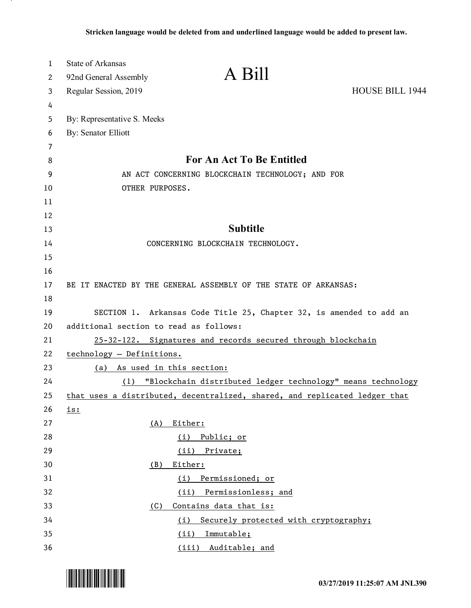| $\mathbf 1$ | <b>State of Arkansas</b>                                           |                                                                            |                 |
|-------------|--------------------------------------------------------------------|----------------------------------------------------------------------------|-----------------|
| 2           | 92nd General Assembly                                              | A Bill                                                                     |                 |
| 3           | Regular Session, 2019                                              |                                                                            | HOUSE BILL 1944 |
| 4           |                                                                    |                                                                            |                 |
| 5           | By: Representative S. Meeks                                        |                                                                            |                 |
| 6           | <b>By: Senator Elliott</b>                                         |                                                                            |                 |
| 7           |                                                                    |                                                                            |                 |
| 8           |                                                                    | <b>For An Act To Be Entitled</b>                                           |                 |
| 9           | AN ACT CONCERNING BLOCKCHAIN TECHNOLOGY; AND FOR                   |                                                                            |                 |
| 10          | OTHER PURPOSES.                                                    |                                                                            |                 |
| 11          |                                                                    |                                                                            |                 |
| 12          |                                                                    |                                                                            |                 |
| 13          |                                                                    | <b>Subtitle</b>                                                            |                 |
| 14          |                                                                    | CONCERNING BLOCKCHAIN TECHNOLOGY.                                          |                 |
| 15          |                                                                    |                                                                            |                 |
| 16          |                                                                    |                                                                            |                 |
| 17          |                                                                    | BE IT ENACTED BY THE GENERAL ASSEMBLY OF THE STATE OF ARKANSAS:            |                 |
| 18          |                                                                    |                                                                            |                 |
| 19          |                                                                    | SECTION 1. Arkansas Code Title 25, Chapter 32, is amended to add an        |                 |
| 20          | additional section to read as follows:                             |                                                                            |                 |
| 21          |                                                                    | 25-32-122. Signatures and records secured through blockchain               |                 |
| 22          | technology - Definitions.                                          |                                                                            |                 |
| 23          | (a) As used in this section:                                       |                                                                            |                 |
| 24          | "Blockchain distributed ledger technology" means technology<br>(1) |                                                                            |                 |
| 25          |                                                                    | that uses a distributed, decentralized, shared, and replicated ledger that |                 |
| 26          | <u>is:</u>                                                         |                                                                            |                 |
| 27          | (A)                                                                | Either:                                                                    |                 |
| 28          |                                                                    | Public; or<br>(i)                                                          |                 |
| 29          |                                                                    | (ii)<br>Private;                                                           |                 |
| 30          | (B)                                                                | Either:                                                                    |                 |
| 31          |                                                                    | (i)<br>Permissioned; or                                                    |                 |
| 32          |                                                                    | Permissionless; and<br>(ii)                                                |                 |
| 33          | (C)                                                                | Contains data that is:                                                     |                 |
| 34          |                                                                    | Securely protected with cryptography;<br>(i)                               |                 |
| 35          |                                                                    | Immutable;<br>(ii)                                                         |                 |
| 36          |                                                                    | (iii) Auditable; and                                                       |                 |